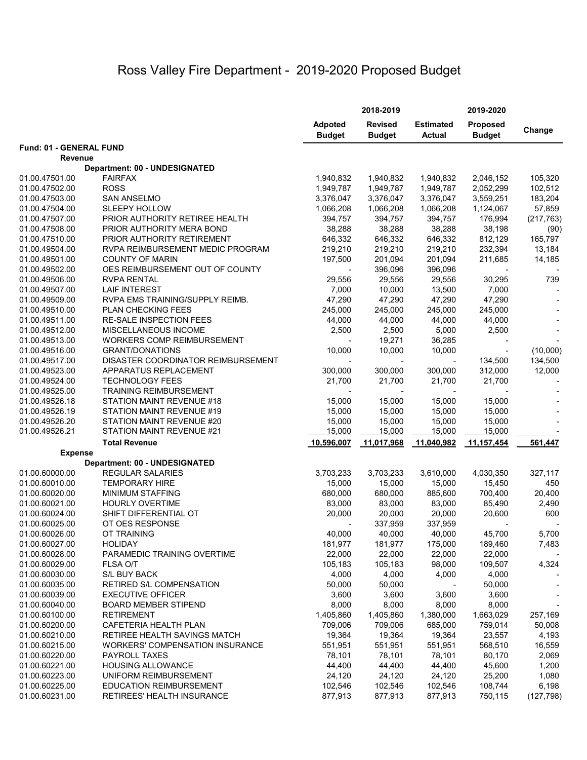# Ross Valley Fire Department - 2019-2020 Proposed Budget

|                                  |                                                           | 2018-2019                       |                                 |                                   | 2019-2020                        |            |  |
|----------------------------------|-----------------------------------------------------------|---------------------------------|---------------------------------|-----------------------------------|----------------------------------|------------|--|
|                                  |                                                           | <b>Adpoted</b><br><b>Budget</b> | <b>Revised</b><br><b>Budget</b> | <b>Estimated</b><br><b>Actual</b> | <b>Proposed</b><br><b>Budget</b> | Change     |  |
| Fund: 01 - GENERAL FUND          |                                                           |                                 |                                 |                                   |                                  |            |  |
| <b>Revenue</b>                   |                                                           |                                 |                                 |                                   |                                  |            |  |
|                                  | <b>Department: 00 - UNDESIGNATED</b>                      |                                 |                                 |                                   |                                  |            |  |
| 01.00.47501.00                   | <b>FAIRFAX</b>                                            | 1,940,832                       | 1,940,832                       | 1,940,832                         | 2,046,152                        | 105,320    |  |
| 01.00.47502.00                   | <b>ROSS</b>                                               | 1,949,787                       | 1,949,787                       | 1,949,787                         | 2,052,299                        | 102,512    |  |
| 01.00.47503.00                   | <b>SAN ANSELMO</b>                                        | 3,376,047                       | 3,376,047                       | 3,376,047                         | 3,559,251                        | 183,204    |  |
| 01.00.47504.00                   | <b>SLEEPY HOLLOW</b>                                      | 1,066,208                       | 1,066,208                       | 1,066,208                         | 1,124,067                        | 57,859     |  |
| 01.00.47507.00                   | PRIOR AUTHORITY RETIREE HEALTH                            | 394,757                         | 394,757                         | 394,757                           | 176,994                          | (217, 763) |  |
| 01.00.47508.00                   | PRIOR AUTHORITY MERA BOND                                 | 38,288                          | 38,288                          | 38,288                            | 38,198                           | (90)       |  |
| 01.00.47510.00                   | PRIOR AUTHORITY RETIREMENT                                | 646,332                         | 646,332                         | 646,332                           | 812,129                          | 165,797    |  |
| 01.00.49504.00                   | RVPA REIMBURSEMENT MEDIC PROGRAM                          | 219,210                         | 219,210                         | 219,210                           | 232,394                          | 13,184     |  |
| 01.00.49501.00                   | <b>COUNTY OF MARIN</b>                                    | 197,500                         | 201,094                         | 201,094                           | 211,685                          | 14,185     |  |
| 01.00.49502.00                   | OES REIMBURSEMENT OUT OF COUNTY                           |                                 | 396,096                         | 396,096                           |                                  |            |  |
| 01.00.49506.00                   | <b>RVPA RENTAL</b>                                        | 29,556                          | 29,556                          | 29,556                            | 30,295                           | 739        |  |
| 01.00.49507.00                   | <b>LAIF INTEREST</b>                                      | 7,000                           | 10,000                          | 13,500                            | 7,000                            |            |  |
| 01.00.49509.00                   | RVPA EMS TRAINING/SUPPLY REIMB.                           | 47,290                          | 47,290                          | 47,290                            | 47,290                           |            |  |
| 01.00.49510.00                   | PLAN CHECKING FEES                                        | 245,000                         | 245,000                         | 245,000                           | 245,000                          |            |  |
| 01.00.49511.00                   | RE-SALE INSPECTION FEES                                   | 44,000                          | 44,000                          | 44,000                            | 44,000                           |            |  |
| 01.00.49512.00<br>01.00.49513.00 | MISCELLANEOUS INCOME<br><b>WORKERS COMP REIMBURSEMENT</b> | 2,500                           | 2,500                           | 5,000                             | 2,500                            |            |  |
| 01.00.49516.00                   | <b>GRANT/DONATIONS</b>                                    | 10,000                          | 19,271<br>10,000                | 36,285<br>10,000                  |                                  | (10,000)   |  |
| 01.00.49517.00                   | DISASTER COORDINATOR REIMBURSEMENT                        |                                 |                                 |                                   |                                  | 134,500    |  |
| 01.00.49523.00                   | APPARATUS REPLACEMENT                                     |                                 | 300,000                         |                                   | 134,500                          |            |  |
| 01.00.49524.00                   | <b>TECHNOLOGY FEES</b>                                    | 300,000<br>21,700               | 21,700                          | 300,000<br>21,700                 | 312,000<br>21,700                | 12,000     |  |
| 01.00.49525.00                   | TRAINING REIMBURSEMENT                                    |                                 |                                 |                                   |                                  |            |  |
| 01.00.49526.18                   | STATION MAINT REVENUE #18                                 | 15,000                          | 15,000                          | 15,000                            | 15,000                           |            |  |
| 01.00.49526.19                   | STATION MAINT REVENUE #19                                 | 15,000                          | 15,000                          | 15,000                            | 15,000                           |            |  |
| 01.00.49526.20                   | STATION MAINT REVENUE #20                                 | 15,000                          | 15,000                          | 15,000                            | 15,000                           |            |  |
| 01.00.49526.21                   | STATION MAINT REVENUE #21                                 | 15,000                          | 15,000                          | 15,000                            | 15,000                           |            |  |
|                                  | <b>Total Revenue</b>                                      |                                 |                                 |                                   |                                  | 561,447    |  |
| <b>Expense</b>                   |                                                           | 10,596,007                      | 11,017,968                      | 11,040,982                        | 11,157,454                       |            |  |
|                                  | <b>Department: 00 - UNDESIGNATED</b>                      |                                 |                                 |                                   |                                  |            |  |
| 01.00.60000.00                   | <b>REGULAR SALARIES</b>                                   | 3,703,233                       | 3,703,233                       | 3,610,000                         | 4,030,350                        | 327,117    |  |
| 01.00.60010.00                   | <b>TEMPORARY HIRE</b>                                     | 15,000                          | 15,000                          | 15,000                            | 15,450                           | 450        |  |
| 01.00.60020.00                   | <b>MINIMUM STAFFING</b>                                   | 680,000                         | 680,000                         | 885,600                           | 700,400                          | 20,400     |  |
| 01.00.60021.00                   | <b>HOURLY OVERTIME</b>                                    | 83,000                          | 83,000                          | 83,000                            | 85,490                           | 2,490      |  |
| 01.00.60024.00                   | SHIFT DIFFERENTIAL OT                                     | 20,000                          | 20,000                          | 20,000                            | 20,600                           | 600        |  |
| 01.00.60025.00                   | OT OES RESPONSE                                           |                                 | 337,959                         | 337,959                           |                                  |            |  |
| 01.00.60026.00                   | OT TRAINING                                               | 40,000                          | 40,000                          | 40,000                            | 45,700                           | 5,700      |  |
| 01.00.60027.00                   | <b>HOLIDAY</b>                                            | 181,977                         | 181,977                         | 175,000                           | 189,460                          | 7,483      |  |
| 01.00.60028.00                   | PARAMEDIC TRAINING OVERTIME                               | 22,000                          | 22,000                          | 22,000                            | 22,000                           |            |  |
| 01.00.60029.00                   | <b>FLSA O/T</b>                                           | 105,183                         | 105,183                         | 98,000                            | 109,507                          | 4,324      |  |
| 01.00.60030.00                   | S/L BUY BACK                                              | 4,000                           | 4,000                           | 4,000                             | 4,000                            |            |  |
| 01.00.60035.00                   | RETIRED S/L COMPENSATION                                  | 50,000                          | 50,000                          |                                   | 50,000                           |            |  |
| 01.00.60039.00                   | <b>EXECUTIVE OFFICER</b>                                  | 3,600                           | 3,600                           | 3,600                             | 3,600                            |            |  |
| 01.00.60040.00                   | <b>BOARD MEMBER STIPEND</b>                               | 8,000                           | 8,000                           | 8,000                             | 8,000                            |            |  |
| 01.00.60100.00                   | <b>RETIREMENT</b>                                         | 1,405,860                       | 1,405,860                       | 1,380,000                         | 1,663,029                        | 257,169    |  |
| 01.00.60200.00                   | CAFETERIA HEALTH PLAN                                     | 709,006                         | 709,006                         | 685,000                           | 759,014                          | 50,008     |  |
| 01.00.60210.00                   | RETIREE HEALTH SAVINGS MATCH                              | 19,364                          | 19,364                          | 19,364                            | 23,557                           | 4,193      |  |
| 01.00.60215.00                   | <b>WORKERS' COMPENSATION INSURANCE</b>                    | 551,951                         | 551,951                         | 551,951                           | 568,510                          | 16,559     |  |
| 01.00.60220.00                   | PAYROLL TAXES                                             | 78,101                          | 78,101                          | 78,101                            | 80,170                           | 2,069      |  |
| 01.00.60221.00                   | <b>HOUSING ALLOWANCE</b>                                  | 44,400                          | 44,400                          | 44,400                            | 45,600                           | 1,200      |  |
| 01.00.60223.00                   | UNIFORM REIMBURSEMENT                                     | 24,120                          | 24,120                          | 24,120                            | 25,200                           | 1,080      |  |
| 01.00.60225.00                   | <b>EDUCATION REIMBURSEMENT</b>                            | 102,546                         | 102,546                         | 102,546                           | 108,744                          | 6,198      |  |
| 01.00.60231.00                   | RETIREES' HEALTH INSURANCE                                | 877,913                         | 877,913                         | 877,913                           | 750,115                          | (127, 798) |  |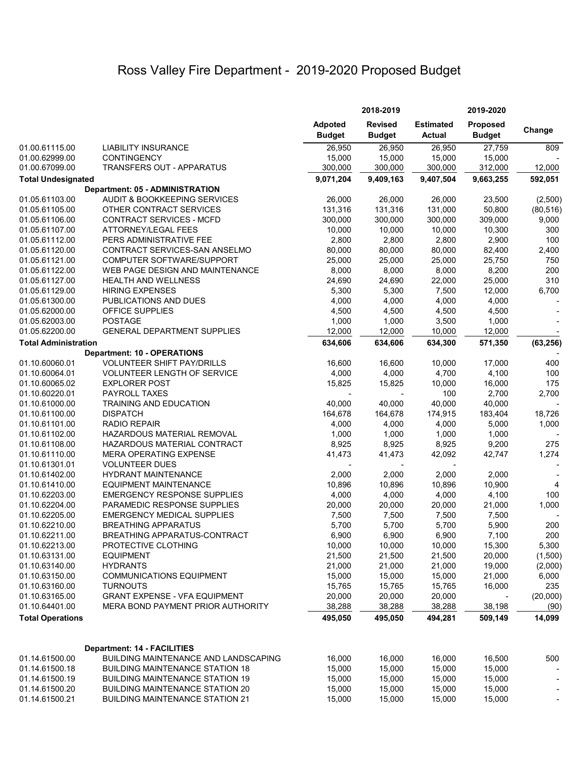# Ross Valley Fire Department - 2019-2020 Proposed Budget

|                                  |                                                      | 2018-2019                       |                                 | 2019-2020                         |                                  |                |
|----------------------------------|------------------------------------------------------|---------------------------------|---------------------------------|-----------------------------------|----------------------------------|----------------|
|                                  |                                                      | <b>Adpoted</b><br><b>Budget</b> | <b>Revised</b><br><b>Budget</b> | <b>Estimated</b><br><b>Actual</b> | <b>Proposed</b><br><b>Budget</b> | Change         |
| 01.00.61115.00                   | <b>LIABILITY INSURANCE</b>                           | 26,950                          | 26,950                          | 26,950                            | 27,759                           | 809            |
| 01.00.62999.00                   | <b>CONTINGENCY</b>                                   | 15,000                          | 15,000                          | 15,000                            | 15,000                           |                |
| 01.00.67099.00                   | TRANSFERS OUT - APPARATUS                            | 300,000                         | 300,000                         | 300,000                           | 312,000                          | 12,000         |
| <b>Total Undesignated</b>        |                                                      | 9,071,204                       | 9,409,163                       | 9,407,504                         | 9,663,255                        | 592,051        |
|                                  | <b>Department: 05 - ADMINISTRATION</b>               |                                 |                                 |                                   |                                  |                |
| 01.05.61103.00                   | AUDIT & BOOKKEEPING SERVICES                         | 26,000                          | 26,000                          | 26,000                            | 23,500                           | (2,500)        |
| 01.05.61105.00                   | OTHER CONTRACT SERVICES                              | 131,316                         | 131,316                         | 131,000                           | 50,800                           | (80, 516)      |
| 01.05.61106.00                   | CONTRACT SERVICES - MCFD                             | 300,000                         | 300,000                         | 300,000                           | 309,000                          | 9,000          |
| 01.05.61107.00                   | ATTORNEY/LEGAL FEES                                  | 10,000                          | 10,000                          | 10,000                            | 10,300                           | 300            |
| 01.05.61112.00                   | PERS ADMINISTRATIVE FEE                              | 2,800                           | 2,800                           | 2,800                             | 2,900                            | 100            |
| 01.05.61120.00                   | CONTRACT SERVICES-SAN ANSELMO                        | 80,000                          | 80,000                          | 80,000                            | 82,400                           | 2,400          |
| 01.05.61121.00                   | COMPUTER SOFTWARE/SUPPORT                            | 25,000                          | 25,000                          | 25,000                            | 25,750                           | 750            |
| 01.05.61122.00                   | WEB PAGE DESIGN AND MAINTENANCE                      | 8,000                           | 8,000                           | 8,000                             | 8,200                            | 200            |
| 01.05.61127.00                   | <b>HEALTH AND WELLNESS</b><br><b>HIRING EXPENSES</b> | 24,690                          | 24,690                          | 22,000                            | 25,000                           | 310<br>6,700   |
| 01.05.61129.00                   | PUBLICATIONS AND DUES                                | 5,300                           | 5,300                           | 7,500                             | 12,000                           |                |
| 01.05.61300.00                   | <b>OFFICE SUPPLIES</b>                               | 4,000                           | 4,000                           | 4,000                             | 4,000                            |                |
| 01.05.62000.00                   | <b>POSTAGE</b>                                       | 4,500                           | 4,500                           | 4,500                             | 4,500                            |                |
| 01.05.62003.00<br>01.05.62200.00 | <b>GENERAL DEPARTMENT SUPPLIES</b>                   | 1,000                           | 1,000<br>12,000                 | 3,500<br>10,000                   | 1,000<br>12,000                  |                |
|                                  |                                                      | 12,000                          |                                 |                                   |                                  |                |
| <b>Total Administration</b>      | <b>Department: 10 - OPERATIONS</b>                   | 634,606                         | 634,606                         | 634,300                           | 571,350                          | (63, 256)      |
| 01.10.60060.01                   | <b>VOLUNTEER SHIFT PAY/DRILLS</b>                    | 16,600                          | 16,600                          | 10,000                            | 17,000                           | 400            |
| 01.10.60064.01                   | <b>VOLUNTEER LENGTH OF SERVICE</b>                   | 4,000                           | 4,000                           | 4,700                             | 4,100                            | 100            |
| 01.10.60065.02                   | <b>EXPLORER POST</b>                                 | 15,825                          | 15,825                          | 10,000                            | 16,000                           | 175            |
| 01.10.60220.01                   | PAYROLL TAXES                                        |                                 | $\blacksquare$                  | 100                               | 2,700                            | 2,700          |
| 01.10.61000.00                   | <b>TRAINING AND EDUCATION</b>                        | 40,000                          | 40,000                          | 40,000                            | 40,000                           |                |
| 01.10.61100.00                   | <b>DISPATCH</b>                                      | 164,678                         | 164,678                         | 174,915                           | 183,404                          | 18,726         |
| 01.10.61101.00                   | <b>RADIO REPAIR</b>                                  | 4,000                           | 4,000                           | 4,000                             | 5,000                            | 1,000          |
| 01.10.61102.00                   | HAZARDOUS MATERIAL REMOVAL                           | 1,000                           | 1,000                           | 1,000                             | 1,000                            |                |
| 01.10.61108.00                   | HAZARDOUS MATERIAL CONTRACT                          | 8,925                           | 8,925                           | 8,925                             | 9,200                            | 275            |
| 01.10.61110.00                   | <b>MERA OPERATING EXPENSE</b>                        | 41,473                          | 41,473                          | 42,092                            | 42,747                           | 1,274          |
| 01.10.61301.01                   | <b>VOLUNTEER DUES</b>                                |                                 |                                 |                                   |                                  |                |
| 01.10.61402.00                   | <b>HYDRANT MAINTENANCE</b>                           | 2,000                           | 2,000                           | 2,000                             | 2,000                            |                |
| 01.10.61410.00                   | <b>EQUIPMENT MAINTENANCE</b>                         | 10,896                          | 10,896                          | 10,896                            | 10,900                           | $\overline{4}$ |
| 01.10.62203.00                   | <b>EMERGENCY RESPONSE SUPPLIES</b>                   | 4,000                           | 4,000                           | 4,000                             | 4,100                            | 100            |
| 01.10.62204.00                   | PARAMEDIC RESPONSE SUPPLIES                          | 20,000                          | 20,000                          | 20,000                            | 21,000                           | 1,000          |
| 01.10.62205.00                   | <b>EMERGENCY MEDICAL SUPPLIES</b>                    | 7,500                           | 7,500                           | 7,500                             | 7,500                            |                |
| 01.10.62210.00                   | <b>BREATHING APPARATUS</b>                           | 5,700                           | 5,700                           | 5,700                             | 5,900                            | 200            |
| 01.10.62211.00                   | BREATHING APPARATUS-CONTRACT                         | 6,900                           | 6,900                           | 6,900                             | 7,100                            | 200            |
| 01.10.62213.00                   | PROTECTIVE CLOTHING                                  | 10,000                          | 10,000                          | 10,000                            | 15,300                           | 5,300          |
| 01.10.63131.00                   | <b>EQUIPMENT</b>                                     | 21,500                          | 21,500                          | 21,500                            | 20,000                           | (1,500)        |
| 01.10.63140.00                   | <b>HYDRANTS</b>                                      | 21,000                          | 21,000                          | 21,000                            | 19,000                           | (2,000)        |
| 01.10.63150.00                   | <b>COMMUNICATIONS EQUIPMENT</b>                      | 15,000                          | 15,000                          | 15,000                            | 21,000                           | 6,000          |
| 01.10.63160.00                   | <b>TURNOUTS</b>                                      | 15,765                          | 15,765                          | 15,765                            | 16,000                           | 235            |
| 01.10.63165.00                   | <b>GRANT EXPENSE - VFA EQUIPMENT</b>                 | 20,000                          | 20,000                          | 20,000                            |                                  | (20,000)       |
| 01.10.64401.00                   | MERA BOND PAYMENT PRIOR AUTHORITY                    | 38,288                          | 38,288                          | 38,288                            | 38,198                           | (90)           |
| <b>Total Operations</b>          |                                                      | 495,050                         | 495,050                         | 494,281                           | 509,149                          | 14,099         |
|                                  |                                                      |                                 |                                 |                                   |                                  |                |
|                                  | Department: 14 - FACILITIES                          |                                 |                                 |                                   |                                  |                |
| 01.14.61500.00                   | BUILDING MAINTENANCE AND LANDSCAPING                 | 16,000                          | 16,000                          | 16,000                            | 16,500                           | 500            |
| 01.14.61500.18                   | <b>BUILDING MAINTENANCE STATION 18</b>               | 15,000                          | 15,000                          | 15,000                            | 15,000                           |                |
| 01.14.61500.19                   | <b>BUILDING MAINTENANCE STATION 19</b>               | 15,000                          | 15,000                          | 15,000                            | 15,000                           |                |
| 01.14.61500.20                   | <b>BUILDING MAINTENANCE STATION 20</b>               | 15,000                          | 15,000                          | 15,000                            | 15,000                           |                |
| 01.14.61500.21                   | <b>BUILDING MAINTENANCE STATION 21</b>               | 15,000                          | 15,000                          | 15,000                            | 15,000                           |                |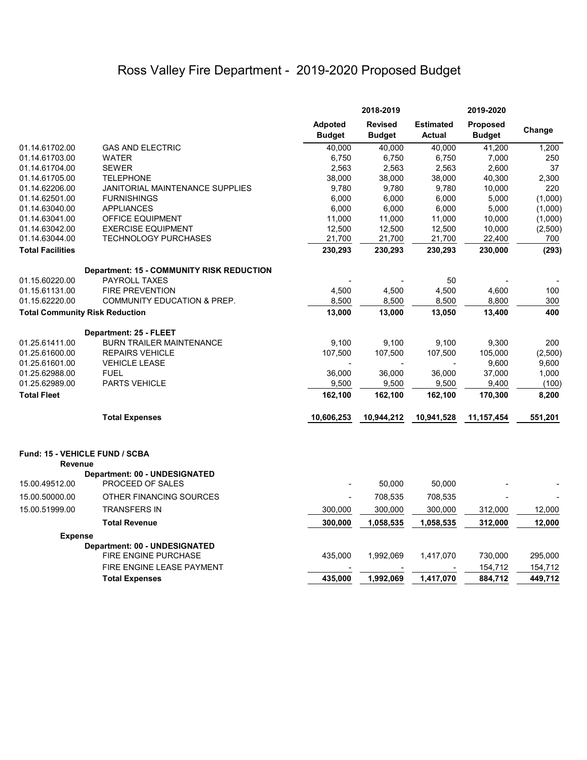# Ross Valley Fire Department - 2019-2020 Proposed Budget

|                                                  |                                                       |                                 | 2018-2019                       |                                   | 2019-2020                        |         |
|--------------------------------------------------|-------------------------------------------------------|---------------------------------|---------------------------------|-----------------------------------|----------------------------------|---------|
|                                                  |                                                       | <b>Adpoted</b><br><b>Budget</b> | <b>Revised</b><br><b>Budget</b> | <b>Estimated</b><br><b>Actual</b> | <b>Proposed</b><br><b>Budget</b> | Change  |
| 01.14.61702.00                                   | <b>GAS AND ELECTRIC</b>                               | 40,000                          | 40,000                          | 40,000                            | 41,200                           | 1,200   |
| 01.14.61703.00                                   | <b>WATER</b>                                          | 6,750                           | 6,750                           | 6,750                             | 7,000                            | 250     |
| 01.14.61704.00                                   | <b>SEWER</b>                                          | 2,563                           | 2,563                           | 2,563                             | 2,600                            | 37      |
| 01.14.61705.00                                   | <b>TELEPHONE</b>                                      | 38,000                          | 38,000                          | 38,000                            | 40,300                           | 2,300   |
| 01.14.62206.00                                   | JANITORIAL MAINTENANCE SUPPLIES                       | 9,780                           | 9,780                           | 9,780                             | 10,000                           | 220     |
| 01.14.62501.00                                   | <b>FURNISHINGS</b>                                    | 6,000                           | 6,000                           | 6,000                             | 5,000                            | (1,000) |
| 01.14.63040.00                                   | <b>APPLIANCES</b>                                     | 6,000                           | 6,000                           | 6,000                             | 5,000                            | (1,000) |
| 01.14.63041.00                                   | OFFICE EQUIPMENT                                      | 11,000                          | 11,000                          | 11,000                            | 10,000                           | (1,000) |
| 01.14.63042.00                                   | <b>EXERCISE EQUIPMENT</b>                             | 12,500                          | 12,500                          | 12,500                            | 10,000                           | (2,500) |
| 01.14.63044.00                                   | <b>TECHNOLOGY PURCHASES</b>                           | 21,700                          | 21,700                          | 21,700                            | 22,400                           | 700     |
| <b>Total Facilities</b>                          |                                                       | 230,293                         | 230,293                         | 230,293                           | 230,000                          | (293)   |
|                                                  | <b>Department: 15 - COMMUNITY RISK REDUCTION</b>      |                                 |                                 |                                   |                                  |         |
| 01.15.60220.00                                   | PAYROLL TAXES                                         |                                 |                                 | 50                                |                                  |         |
| 01.15.61131.00                                   | <b>FIRE PREVENTION</b>                                | 4,500                           | 4,500                           | 4,500                             | 4,600                            | 100     |
| 01.15.62220.00                                   | <b>COMMUNITY EDUCATION &amp; PREP.</b>                | 8,500                           | 8,500                           | 8,500                             | 8,800                            | 300     |
| <b>Total Community Risk Reduction</b>            |                                                       | 13,000                          | 13,000                          | 13,050                            | 13,400                           | 400     |
|                                                  | Department: 25 - FLEET                                |                                 |                                 |                                   |                                  |         |
| 01.25.61411.00                                   | <b>BURN TRAILER MAINTENANCE</b>                       | 9,100                           | 9,100                           | 9,100                             | 9,300                            | 200     |
| 01.25.61600.00                                   | <b>REPAIRS VEHICLE</b>                                | 107,500                         | 107,500                         | 107,500                           | 105,000                          | (2,500) |
| 01.25.61601.00                                   | <b>VEHICLE LEASE</b>                                  |                                 |                                 |                                   | 9,600                            | 9,600   |
| 01.25.62988.00                                   | <b>FUEL</b>                                           | 36,000                          | 36,000                          | 36,000                            | 37,000                           | 1,000   |
| 01.25.62989.00                                   | <b>PARTS VEHICLE</b>                                  | 9,500                           | 9,500                           | 9,500                             | 9,400                            | (100)   |
| <b>Total Fleet</b>                               |                                                       | 162,100                         | 162,100                         | 162,100                           | 170,300                          | 8,200   |
|                                                  | <b>Total Expenses</b>                                 | 10,606,253                      | 10,944,212                      | 10,941,528                        | 11,157,454                       | 551,201 |
| Fund: 15 - VEHICLE FUND / SCBA<br><b>Revenue</b> |                                                       |                                 |                                 |                                   |                                  |         |
|                                                  | Department: 00 - UNDESIGNATED                         |                                 |                                 |                                   |                                  |         |
| 15.00.49512.00                                   | PROCEED OF SALES                                      |                                 | 50,000                          | 50,000                            |                                  |         |
| 15.00.50000.00                                   | OTHER FINANCING SOURCES                               |                                 | 708,535                         | 708,535                           |                                  |         |
| 15.00.51999.00                                   | <b>TRANSFERS IN</b>                                   | 300,000                         | 300,000                         | 300,000                           | 312,000                          | 12,000  |
|                                                  | <b>Total Revenue</b>                                  | 300,000                         | 1,058,535                       | 1,058,535                         | 312,000                          | 12,000  |
| <b>Expense</b>                                   |                                                       |                                 |                                 |                                   |                                  |         |
|                                                  | Department: 00 - UNDESIGNATED<br>FIRE ENGINE PURCHASE | 435,000                         | 1,992,069                       | 1,417,070                         | 730,000                          | 295,000 |
|                                                  | FIRE ENGINE LEASE PAYMENT                             |                                 |                                 |                                   | 154,712                          | 154,712 |
|                                                  |                                                       | 435,000                         | 1,992,069                       | 1,417,070                         | 884,712                          | 449,712 |
|                                                  | <b>Total Expenses</b>                                 |                                 |                                 |                                   |                                  |         |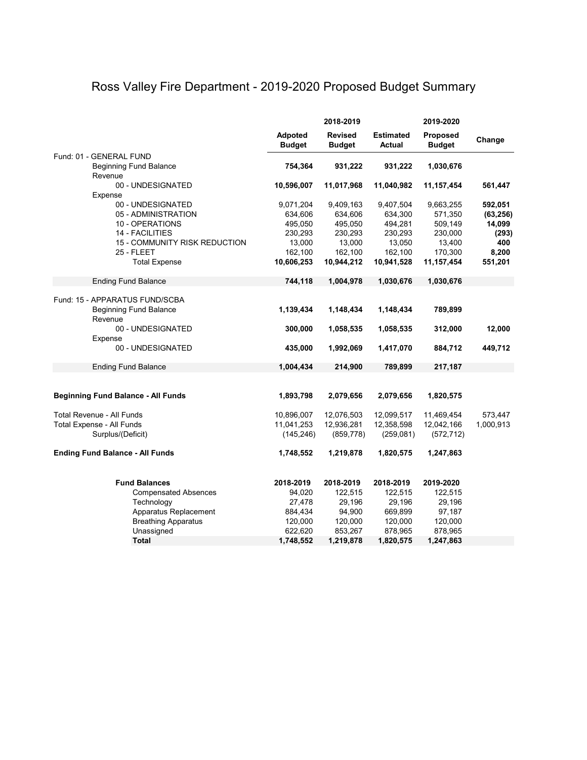## Ross Valley Fire Department - 2019-2020 Proposed Budget Summary

|                                                                 | 2018-2019                       |                                 |                            | 2019-2020                        |           |
|-----------------------------------------------------------------|---------------------------------|---------------------------------|----------------------------|----------------------------------|-----------|
|                                                                 | <b>Adpoted</b><br><b>Budget</b> | <b>Revised</b><br><b>Budget</b> | <b>Estimated</b><br>Actual | <b>Proposed</b><br><b>Budget</b> | Change    |
| Fund: 01 - GENERAL FUND                                         |                                 |                                 |                            |                                  |           |
| <b>Beginning Fund Balance</b>                                   | 754,364                         | 931,222                         | 931,222                    | 1,030,676                        |           |
| Revenue                                                         |                                 |                                 |                            |                                  |           |
| 00 - UNDESIGNATED                                               | 10,596,007                      | 11,017,968                      | 11,040,982                 | 11,157,454                       | 561,447   |
| Expense<br>00 - UNDESIGNATED                                    | 9,071,204                       | 9,409,163                       | 9,407,504                  | 9,663,255                        | 592,051   |
| 05 - ADMINISTRATION                                             | 634,606                         | 634,606                         | 634,300                    | 571,350                          | (63, 256) |
| 10 - OPERATIONS                                                 | 495,050                         | 495,050                         | 494,281                    | 509,149                          | 14,099    |
| <b>14 - FACILITIES</b>                                          | 230,293                         | 230,293                         | 230,293                    | 230,000                          | (293)     |
| 15 - COMMUNITY RISK REDUCTION                                   | 13,000                          | 13,000                          | 13,050                     | 13,400                           | 400       |
| 25 - FLEET                                                      | 162,100                         | 162,100                         | 162,100                    | 170,300                          | 8,200     |
| <b>Total Expense</b>                                            | 10,606,253                      | 10,944,212                      | 10,941,528                 | 11,157,454                       | 551,201   |
| <b>Ending Fund Balance</b>                                      | 744,118                         | 1,004,978                       | 1,030,676                  | 1,030,676                        |           |
|                                                                 |                                 |                                 |                            |                                  |           |
| Fund: 15 - APPARATUS FUND/SCBA<br><b>Beginning Fund Balance</b> | 1,139,434                       | 1,148,434                       | 1,148,434                  | 789,899                          |           |
| Revenue                                                         |                                 |                                 |                            |                                  |           |
| 00 - UNDESIGNATED                                               | 300,000                         | 1,058,535                       | 1,058,535                  | 312,000                          | 12,000    |
| Expense                                                         |                                 |                                 |                            |                                  |           |
| 00 - UNDESIGNATED                                               | 435,000                         | 1,992,069                       | 1,417,070                  | 884,712                          | 449,712   |
| <b>Ending Fund Balance</b>                                      | 1,004,434                       | 214,900                         | 789,899                    | 217,187                          |           |
|                                                                 |                                 |                                 |                            |                                  |           |
| <b>Beginning Fund Balance - All Funds</b>                       | 1,893,798                       | 2,079,656                       | 2,079,656                  | 1,820,575                        |           |
|                                                                 |                                 |                                 |                            |                                  |           |
| Total Revenue - All Funds                                       | 10,896,007                      | 12,076,503                      | 12,099,517                 | 11,469,454                       | 573,447   |
| Total Expense - All Funds                                       | 11,041,253                      | 12,936,281                      | 12,358,598                 | 12,042,166                       | 1,000,913 |
| Surplus/(Deficit)                                               | (145, 246)                      | (859, 778)                      | (259, 081)                 | (572, 712)                       |           |
| <b>Ending Fund Balance - All Funds</b>                          | 1,748,552                       | 1,219,878                       | 1,820,575                  | 1,247,863                        |           |
| <b>Fund Balances</b>                                            | 2018-2019                       | 2018-2019                       | 2018-2019                  | 2019-2020                        |           |
| <b>Compensated Absences</b>                                     | 94,020                          | 122,515                         | 122,515                    | 122,515                          |           |
| Technology                                                      | 27,478                          | 29,196                          | 29,196                     | 29,196                           |           |
| Apparatus Replacement                                           | 884,434                         | 94,900                          | 669,899                    | 97,187                           |           |
| <b>Breathing Apparatus</b>                                      | 120,000                         | 120,000                         | 120,000                    | 120,000                          |           |
| Unassigned                                                      | 622,620                         | 853,267                         | 878,965                    | 878,965                          |           |
| <b>Total</b>                                                    | 1,748,552                       | 1,219,878                       | 1,820,575                  | 1,247,863                        |           |
|                                                                 |                                 |                                 |                            |                                  |           |